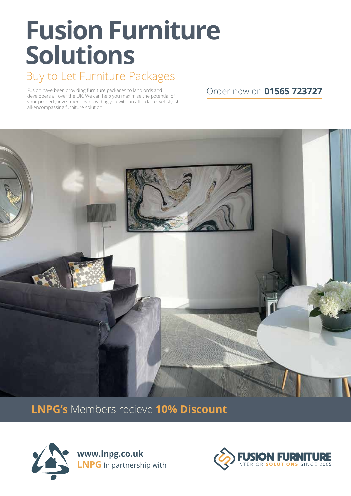# **Fusion Furniture Solutions**

# Buy to Let Furniture Packages

Fusion have been providing furniture packages to landlords and developers all over the UK. We can help you maximise the potential of your property investment by providing you with an affordable, yet stylish, all-encompassing furniture solution.

Order now on **01565 723727**



# **LNPG's** Members recieve **10% Discount**



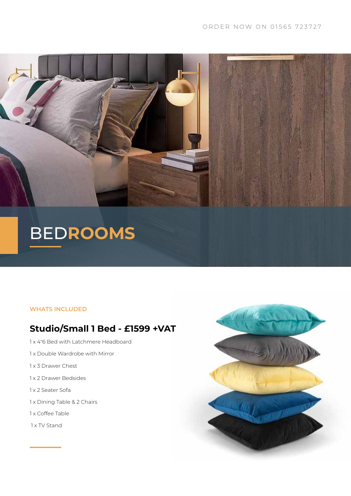

#### **WHATS INCLUDED**

### **Studio/Small 1 Bed - £1599 +VAT**

- 1 x 4"6 Bed with Latchmere Headboard
- 1 x Double Wardrobe with Mirror
- 1 x 3 Drawer Chest
- 1 x 2 Drawer Bedsides
- 1 x 2 Seater Sofa
- 1 x Dining Table & 2 Chairs
- 1 x Coffee Table
- 1 x TV Stand

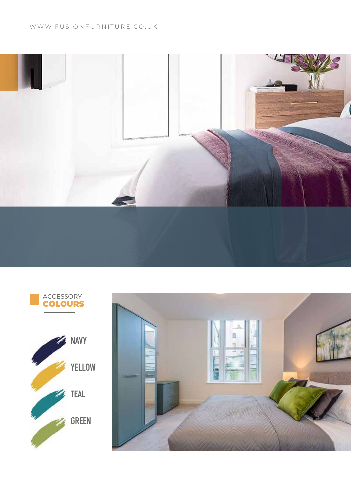### WWW.FUSIONFURNITURE.CO.UK





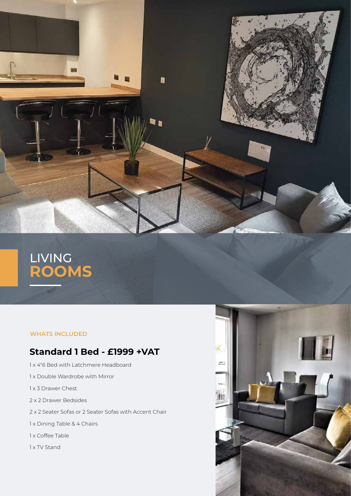

# LIVING **ROOMS**

### **WHATS INCLUDED**

### **Standard 1 Bed - £1999 +VAT**

- 1 x 4"6 Bed with Latchmere Headboard
- 1 x Double Wardrobe with Mirror
- 1 x 3 Drawer Chest
- 2 x 2 Drawer Bedsides
- 2 x 2 Seater Sofas or 2 Seater Sofas with Accent Chair
- 1 x Dining Table & 4 Chairs
- 1 x Coffee Table
- 1 x TV Stand

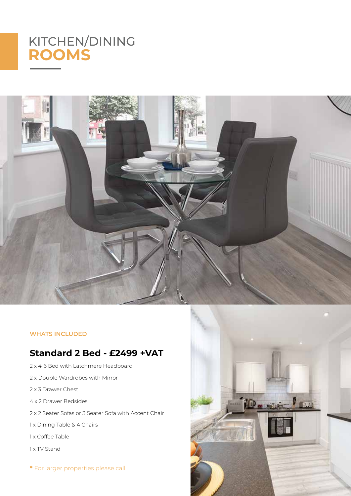



#### **WHATS INCLUDED**

### **Standard 2 Bed - £2499 +VAT**

- 2 x 4"6 Bed with Latchmere Headboard
- 2 x Double Wardrobes with Mirror
- 2 x 3 Drawer Chest
- 4 x 2 Drawer Bedsides
- 2 x 2 Seater Sofas or 3 Seater Sofa with Accent Chair
- 1 x Dining Table & 4 Chairs
- 1 x Coffee Table
- 1 x TV Stand
- \* For larger properties please call

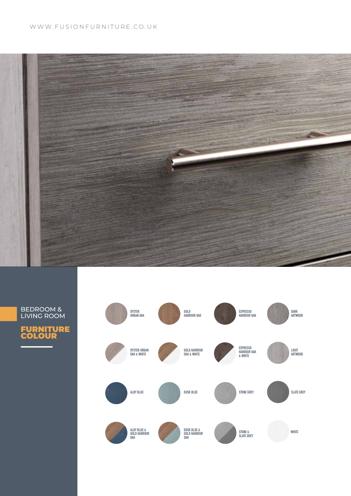#### WWW.FUSIONFURNITURE.CO.UK



### BEDROOM & LIVING ROOM

FURNITURE **COLOUR** 

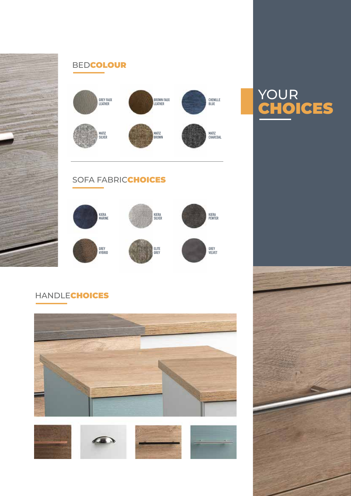

### **BEDCOLOUR**



### SOFA FABRICCHOICES



### **HANDLECHOICES**





# YOUR CHOICES

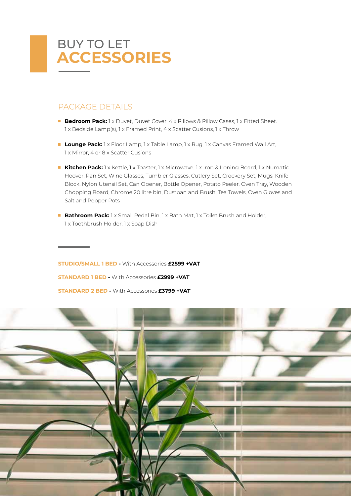

### PACKAGE DETAILS

- **Bedroom Pack:** 1 x Duvet, Duvet Cover, 4 x Pillows & Pillow Cases, 1 x Fitted Sheet. 1 x Bedside Lamp(s), 1 x Framed Print, 4 x Scatter Cusions, 1 x Throw
- **Lounge Pack:** 1 x Floor Lamp, 1 x Table Lamp, 1 x Rug, 1 x Canvas Framed Wall Art, 1 x Mirror, 4 or 8 x Scatter Cusions
- **Kitchen Pack:** 1 x Kettle, 1 x Toaster, 1 x Microwave, 1 x Iron & Ironing Board, 1 x Numatic Hoover, Pan Set, Wine Glasses, Tumbler Glasses, Cutlery Set, Crockery Set, Mugs, Knife Block, Nylon Utensil Set, Can Opener, Bottle Opener, Potato Peeler, Oven Tray, Wooden Chopping Board, Chrome 20 litre bin, Dustpan and Brush, Tea Towels, Oven Gloves and Salt and Pepper Pots
- **Bathroom Pack:** 1 x Small Pedal Bin, 1 x Bath Mat, 1 x Toilet Brush and Holder, 1 x Toothbrush Holder, 1 x Soap Dish

**STUDIO/SMALL 1 BED -** With Accessories **£2599 +VAT STANDARD 1 BED -** With Accessories **£2999 +VAT STANDARD 2 BED -** With Accessories **£3799 +VAT**

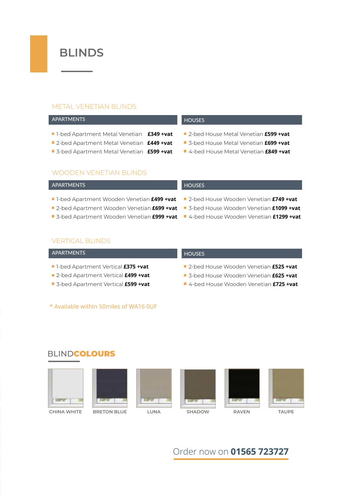### **BLINDS**

### METAL VENETIAN BLINDS

#### APARTMENTS

- 1-bed Apartment Metal Venetian **£349 +vat**
- 2-bed Apartment Metal Venetian **£449 +vat**
- 3-bed Apartment Metal Venetian **£599 +vat**

#### WOODEN VENETIAN BLINDS

#### APARTMENTS

- 1-bed Apartment Wooden Venetian **£499 +vat** 2-bed House Wooden Venetian **£749 +vat**
- 2-bed Apartment Wooden Venetian **£699 +vat** 3-bed House Wooden Venetian **£1099 +vat**
- 3-bed Apartment Wooden Venetian **£999 +vat** 4-bed House Wooden Venetian **£1299 +vat**

# **HOUSES**

- 2-bed House Metal Venetian **£599 +vat**
- 3-bed House Metal Venetian **£699 +vat**
- 4-bed House Metal Venetian **£849 +vat**

#### **HOUSES**

- 
- 
- 

#### VERTICAL BLINDS

#### APARTMENTS

- 1-bed Apartment Vertical **£375 +vat**
- 2-bed Apartment Vertical **£499 +vat**
- 3-bed Apartment Vertical **£599 +vat**

### \* Available within 50miles of WA16 0UF

#### **HOUSES**

- 2-bed House Wooden Venetian **£525 +vat**
- 3-bed House Wooden Venetian **£625 +vat**
- 4-bed House Wooden Venetian **£725 +vat**

### **BLINDCOLOURS**













**CHINA WHITE BRETON BLUE LUNA SHADOW RAVEN TAUPE**

### Order now on **01565 723727**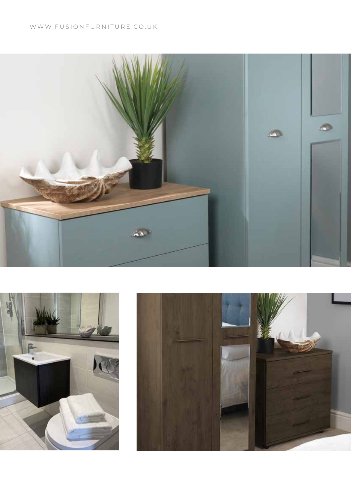### WWW.FUSIONFURNITURE.CO.UK





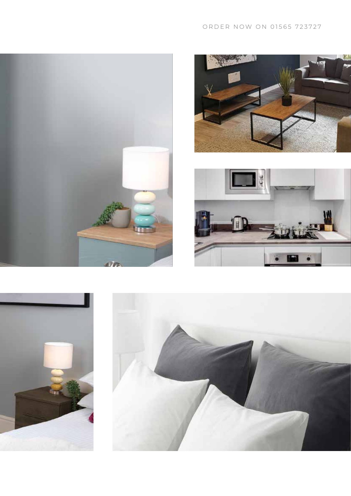### ORDER NOW ON 01565 723727